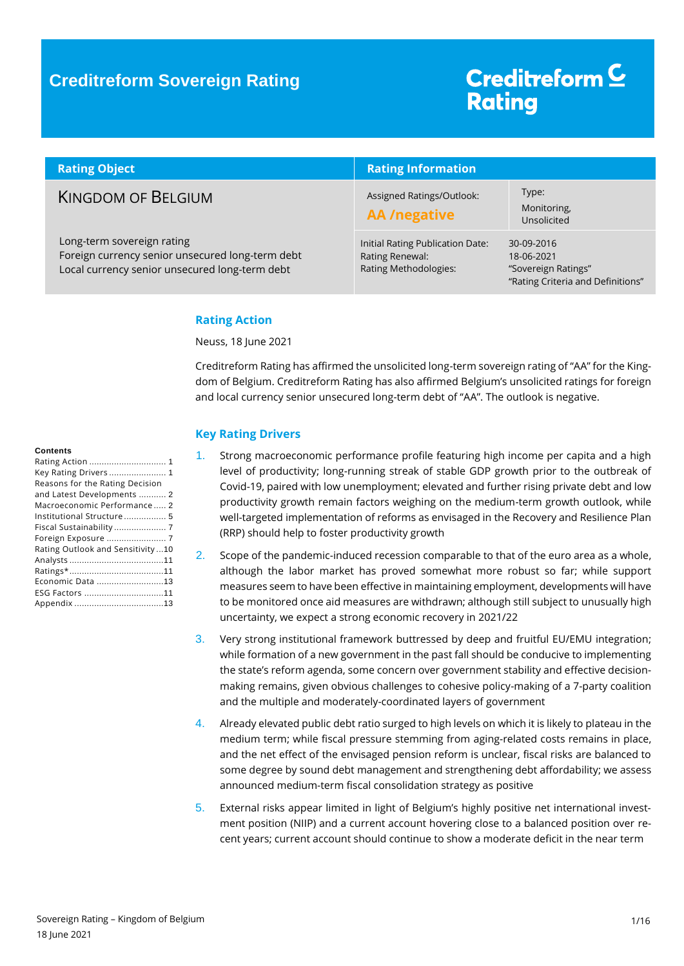# Creditreform<sup>C</sup> **Rating**

| <b>Rating Object</b>                                                                                                             | <b>Rating Information</b>                                                    |                                                                                      |  |  |
|----------------------------------------------------------------------------------------------------------------------------------|------------------------------------------------------------------------------|--------------------------------------------------------------------------------------|--|--|
| <b>KINGDOM OF BELGIUM</b>                                                                                                        | Assigned Ratings/Outlook:<br><b>AA</b> /negative                             | Type:<br>Monitoring,<br>Unsolicited                                                  |  |  |
| Long-term sovereign rating<br>Foreign currency senior unsecured long-term debt<br>Local currency senior unsecured long-term debt | Initial Rating Publication Date:<br>Rating Renewal:<br>Rating Methodologies: | 30-09-2016<br>18-06-2021<br>"Sovereign Ratings"<br>"Rating Criteria and Definitions" |  |  |

### <span id="page-0-0"></span>**Rating Action**

Neuss, 18 June 2021

Creditreform Rating has affirmed the unsolicited long-term sovereign rating of "AA" for the Kingdom of Belgium. Creditreform Rating has also affirmed Belgium's unsolicited ratings for foreign and local currency senior unsecured long-term debt of "AA". The outlook is negative.

### <span id="page-0-1"></span>**Key Rating Drivers**

- 1. Strong macroeconomic performance profile featuring high income per capita and a high level of productivity; long-running streak of stable GDP growth prior to the outbreak of Covid-19, paired with low unemployment; elevated and further rising private debt and low productivity growth remain factors weighing on the medium-term growth outlook, while well-targeted implementation of reforms as envisaged in the Recovery and Resilience Plan (RRP) should help to foster productivity growth
- 2. Scope of the pandemic-induced recession comparable to that of the euro area as a whole, although the labor market has proved somewhat more robust so far; while support measures seem to have been effective in maintaining employment, developments will have to be monitored once aid measures are withdrawn; although still subject to unusually high uncertainty, we expect a strong economic recovery in 2021/22
- 3. Very strong institutional framework buttressed by deep and fruitful EU/EMU integration; while formation of a new government in the past fall should be conducive to implementing the state's reform agenda, some concern over government stability and effective decisionmaking remains, given obvious challenges to cohesive policy-making of a 7-party coalition and the multiple and moderately-coordinated layers of government
- 4. Already elevated public debt ratio surged to high levels on which it is likely to plateau in the medium term; while fiscal pressure stemming from aging-related costs remains in place, and the net effect of the envisaged pension reform is unclear, fiscal risks are balanced to some degree by sound debt management and strengthening debt affordability; we assess announced medium-term fiscal consolidation strategy as positive
- 5. External risks appear limited in light of Belgium's highly positive net international investment position (NIIP) and a current account hovering close to a balanced position over recent years; current account should continue to show a moderate deficit in the near term

#### **Contents**

| Key Rating Drivers  1            |  |
|----------------------------------|--|
| Reasons for the Rating Decision  |  |
| and Latest Developments  2       |  |
| Macroeconomic Performance 2      |  |
| Institutional Structure  5       |  |
| Fiscal Sustainability  7         |  |
| Foreign Exposure  7              |  |
| Rating Outlook and Sensitivity10 |  |
|                                  |  |
|                                  |  |
| Economic Data 13                 |  |
| ESG Factors 11                   |  |
|                                  |  |
|                                  |  |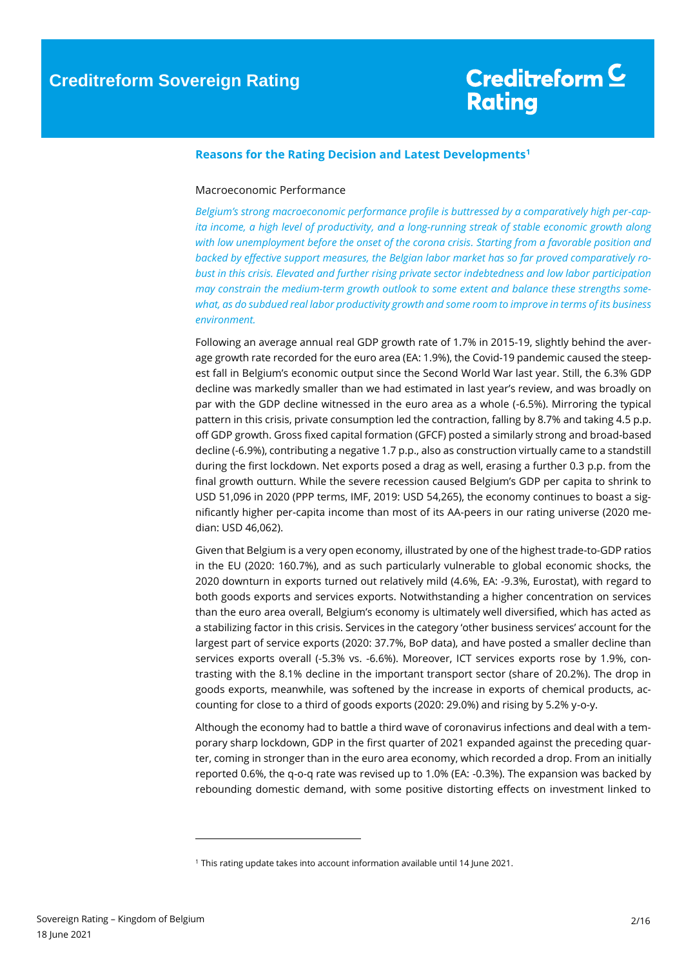### <span id="page-1-0"></span>**Reasons for the Rating Decision and Latest Developments<sup>1</sup>**

### <span id="page-1-1"></span>Macroeconomic Performance

*Belgium's strong macroeconomic performance profile is buttressed by a comparatively high per-capita income, a high level of productivity, and a long-running streak of stable economic growth along with low unemployment before the onset of the corona crisis. Starting from a favorable position and backed by effective support measures, the Belgian labor market has so far proved comparatively robust in this crisis. Elevated and further rising private sector indebtedness and low labor participation may constrain the medium-term growth outlook to some extent and balance these strengths somewhat, as do subdued real labor productivity growth and some room to improve in terms of its business environment.*

Following an average annual real GDP growth rate of 1.7% in 2015-19, slightly behind the average growth rate recorded for the euro area (EA: 1.9%), the Covid-19 pandemic caused the steepest fall in Belgium's economic output since the Second World War last year. Still, the 6.3% GDP decline was markedly smaller than we had estimated in last year's review, and was broadly on par with the GDP decline witnessed in the euro area as a whole (-6.5%). Mirroring the typical pattern in this crisis, private consumption led the contraction, falling by 8.7% and taking 4.5 p.p. off GDP growth. Gross fixed capital formation (GFCF) posted a similarly strong and broad-based decline (-6.9%), contributing a negative 1.7 p.p., also as construction virtually came to a standstill during the first lockdown. Net exports posed a drag as well, erasing a further 0.3 p.p. from the final growth outturn. While the severe recession caused Belgium's GDP per capita to shrink to USD 51,096 in 2020 (PPP terms, IMF, 2019: USD 54,265), the economy continues to boast a significantly higher per-capita income than most of its AA-peers in our rating universe (2020 median: USD 46,062).

Given that Belgium is a very open economy, illustrated by one of the highest trade-to-GDP ratios in the EU (2020: 160.7%), and as such particularly vulnerable to global economic shocks, the 2020 downturn in exports turned out relatively mild (4.6%, EA: -9.3%, Eurostat), with regard to both goods exports and services exports. Notwithstanding a higher concentration on services than the euro area overall, Belgium's economy is ultimately well diversified, which has acted as a stabilizing factor in this crisis. Services in the category 'other business services' account for the largest part of service exports (2020: 37.7%, BoP data), and have posted a smaller decline than services exports overall (-5.3% vs. -6.6%). Moreover, ICT services exports rose by 1.9%, contrasting with the 8.1% decline in the important transport sector (share of 20.2%). The drop in goods exports, meanwhile, was softened by the increase in exports of chemical products, accounting for close to a third of goods exports (2020: 29.0%) and rising by 5.2% y-o-y.

Although the economy had to battle a third wave of coronavirus infections and deal with a temporary sharp lockdown, GDP in the first quarter of 2021 expanded against the preceding quarter, coming in stronger than in the euro area economy, which recorded a drop. From an initially reported 0.6%, the q-o-q rate was revised up to 1.0% (EA: -0.3%). The expansion was backed by rebounding domestic demand, with some positive distorting effects on investment linked to

 $\overline{a}$ 

<sup>1</sup> This rating update takes into account information available until 14 June 2021.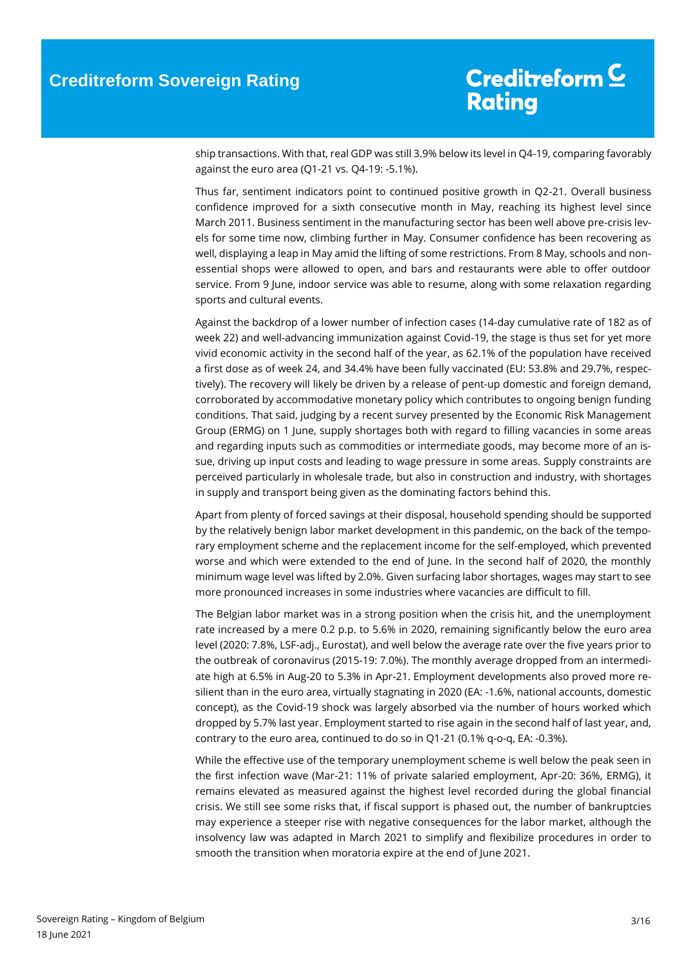ship transactions. With that, real GDP was still 3.9% below its level in Q4-19, comparing favorably against the euro area (Q1-21 vs. Q4-19: -5.1%).

Thus far, sentiment indicators point to continued positive growth in Q2-21. Overall business confidence improved for a sixth consecutive month in May, reaching its highest level since March 2011. Business sentiment in the manufacturing sector has been well above pre-crisis levels for some time now, climbing further in May. Consumer confidence has been recovering as well, displaying a leap in May amid the lifting of some restrictions. From 8 May, schools and nonessential shops were allowed to open, and bars and restaurants were able to offer outdoor service. From 9 June, indoor service was able to resume, along with some relaxation regarding sports and cultural events.

Against the backdrop of a lower number of infection cases (14-day cumulative rate of 182 as of week 22) and well-advancing immunization against Covid-19, the stage is thus set for yet more vivid economic activity in the second half of the year, as 62.1% of the population have received a first dose as of week 24, and 34.4% have been fully vaccinated (EU: 53.8% and 29.7%, respectively). The recovery will likely be driven by a release of pent-up domestic and foreign demand, corroborated by accommodative monetary policy which contributes to ongoing benign funding conditions. That said, judging by a recent survey presented by the Economic Risk Management Group (ERMG) on 1 June, supply shortages both with regard to filling vacancies in some areas and regarding inputs such as commodities or intermediate goods, may become more of an issue, driving up input costs and leading to wage pressure in some areas. Supply constraints are perceived particularly in wholesale trade, but also in construction and industry, with shortages in supply and transport being given as the dominating factors behind this.

Apart from plenty of forced savings at their disposal, household spending should be supported by the relatively benign labor market development in this pandemic, on the back of the temporary employment scheme and the replacement income for the self-employed, which prevented worse and which were extended to the end of June. In the second half of 2020, the monthly minimum wage level was lifted by 2.0%. Given surfacing labor shortages, wages may start to see more pronounced increases in some industries where vacancies are difficult to fill.

The Belgian labor market was in a strong position when the crisis hit, and the unemployment rate increased by a mere 0.2 p.p. to 5.6% in 2020, remaining significantly below the euro area level (2020: 7.8%, LSF-adj., Eurostat), and well below the average rate over the five years prior to the outbreak of coronavirus (2015-19: 7.0%). The monthly average dropped from an intermediate high at 6.5% in Aug-20 to 5.3% in Apr-21. Employment developments also proved more resilient than in the euro area, virtually stagnating in 2020 (EA: -1.6%, national accounts, domestic concept), as the Covid-19 shock was largely absorbed via the number of hours worked which dropped by 5.7% last year. Employment started to rise again in the second half of last year, and, contrary to the euro area, continued to do so in Q1-21 (0.1% q-o-q, EA: -0.3%).

While the effective use of the temporary unemployment scheme is well below the peak seen in the first infection wave (Mar-21: 11% of private salaried employment, Apr-20: 36%, ERMG), it remains elevated as measured against the highest level recorded during the global financial crisis. We still see some risks that, if fiscal support is phased out, the number of bankruptcies may experience a steeper rise with negative consequences for the labor market, although the insolvency law was adapted in March 2021 to simplify and flexibilize procedures in order to smooth the transition when moratoria expire at the end of June 2021.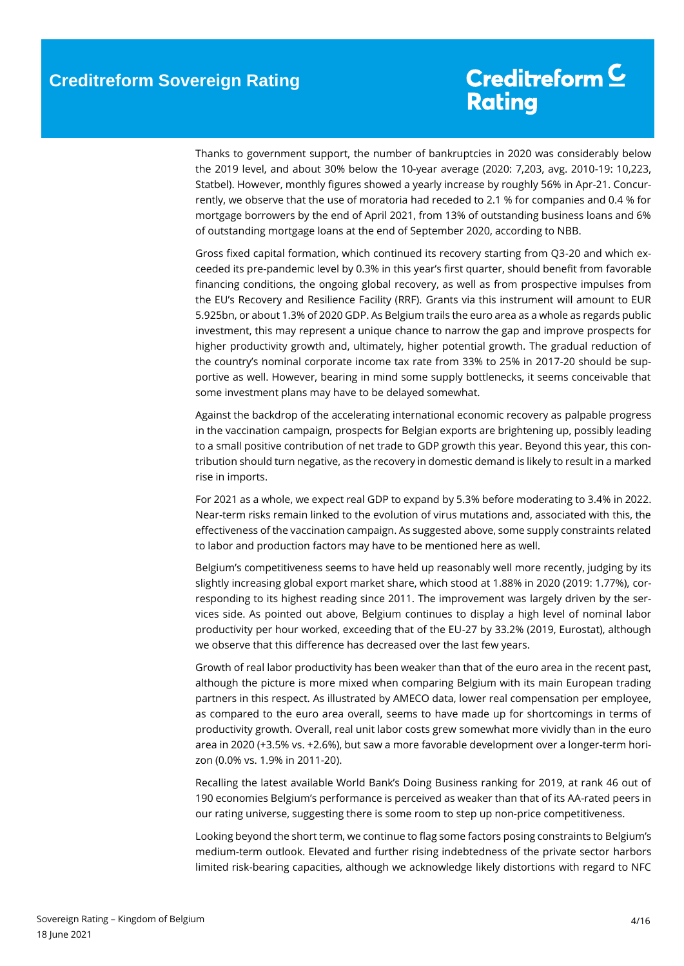## Creditreform C **Rating**

Thanks to government support, the number of bankruptcies in 2020 was considerably below the 2019 level, and about 30% below the 10-year average (2020: 7,203, avg. 2010-19: 10,223, Statbel). However, monthly figures showed a yearly increase by roughly 56% in Apr-21. Concurrently, we observe that the use of moratoria had receded to 2.1 % for companies and 0.4 % for mortgage borrowers by the end of April 2021, from 13% of outstanding business loans and 6% of outstanding mortgage loans at the end of September 2020, according to NBB.

Gross fixed capital formation, which continued its recovery starting from Q3-20 and which exceeded its pre-pandemic level by 0.3% in this year's first quarter, should benefit from favorable financing conditions, the ongoing global recovery, as well as from prospective impulses from the EU's Recovery and Resilience Facility (RRF). Grants via this instrument will amount to EUR 5.925bn, or about 1.3% of 2020 GDP. As Belgium trails the euro area as a whole as regards public investment, this may represent a unique chance to narrow the gap and improve prospects for higher productivity growth and, ultimately, higher potential growth. The gradual reduction of the country's nominal corporate income tax rate from 33% to 25% in 2017-20 should be supportive as well. However, bearing in mind some supply bottlenecks, it seems conceivable that some investment plans may have to be delayed somewhat.

Against the backdrop of the accelerating international economic recovery as palpable progress in the vaccination campaign, prospects for Belgian exports are brightening up, possibly leading to a small positive contribution of net trade to GDP growth this year. Beyond this year, this contribution should turn negative, as the recovery in domestic demand is likely to result in a marked rise in imports.

For 2021 as a whole, we expect real GDP to expand by 5.3% before moderating to 3.4% in 2022. Near-term risks remain linked to the evolution of virus mutations and, associated with this, the effectiveness of the vaccination campaign. As suggested above, some supply constraints related to labor and production factors may have to be mentioned here as well.

Belgium's competitiveness seems to have held up reasonably well more recently, judging by its slightly increasing global export market share, which stood at 1.88% in 2020 (2019: 1.77%), corresponding to its highest reading since 2011. The improvement was largely driven by the services side. As pointed out above, Belgium continues to display a high level of nominal labor productivity per hour worked, exceeding that of the EU-27 by 33.2% (2019, Eurostat), although we observe that this difference has decreased over the last few years.

Growth of real labor productivity has been weaker than that of the euro area in the recent past, although the picture is more mixed when comparing Belgium with its main European trading partners in this respect. As illustrated by AMECO data, lower real compensation per employee, as compared to the euro area overall, seems to have made up for shortcomings in terms of productivity growth. Overall, real unit labor costs grew somewhat more vividly than in the euro area in 2020 (+3.5% vs. +2.6%), but saw a more favorable development over a longer-term horizon (0.0% vs. 1.9% in 2011-20).

Recalling the latest available World Bank's Doing Business ranking for 2019, at rank 46 out of 190 economies Belgium's performance is perceived as weaker than that of its AA-rated peers in our rating universe, suggesting there is some room to step up non-price competitiveness.

Looking beyond the short term, we continue to flag some factors posing constraints to Belgium's medium-term outlook. Elevated and further rising indebtedness of the private sector harbors limited risk-bearing capacities, although we acknowledge likely distortions with regard to NFC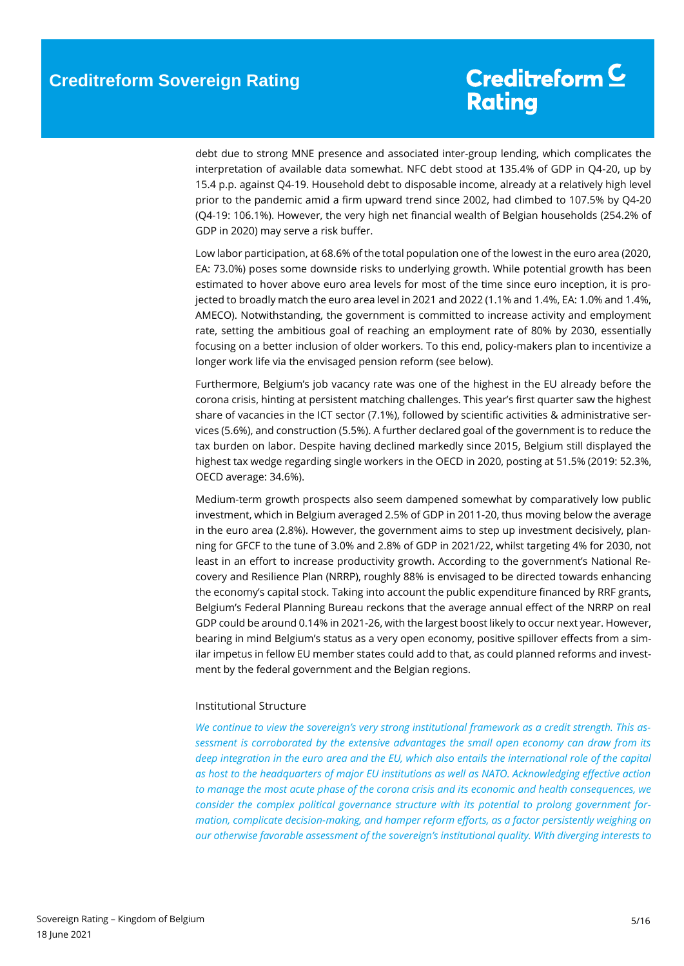debt due to strong MNE presence and associated inter-group lending, which complicates the interpretation of available data somewhat. NFC debt stood at 135.4% of GDP in Q4-20, up by 15.4 p.p. against Q4-19. Household debt to disposable income, already at a relatively high level prior to the pandemic amid a firm upward trend since 2002, had climbed to 107.5% by Q4-20 (Q4-19: 106.1%). However, the very high net financial wealth of Belgian households (254.2% of GDP in 2020) may serve a risk buffer.

Low labor participation, at 68.6% of the total population one of the lowest in the euro area (2020, EA: 73.0%) poses some downside risks to underlying growth. While potential growth has been estimated to hover above euro area levels for most of the time since euro inception, it is projected to broadly match the euro area level in 2021 and 2022 (1.1% and 1.4%, EA: 1.0% and 1.4%, AMECO). Notwithstanding, the government is committed to increase activity and employment rate, setting the ambitious goal of reaching an employment rate of 80% by 2030, essentially focusing on a better inclusion of older workers. To this end, policy-makers plan to incentivize a longer work life via the envisaged pension reform (see below).

Furthermore, Belgium's job vacancy rate was one of the highest in the EU already before the corona crisis, hinting at persistent matching challenges. This year's first quarter saw the highest share of vacancies in the ICT sector (7.1%), followed by scientific activities & administrative services (5.6%), and construction (5.5%). A further declared goal of the government is to reduce the tax burden on labor. Despite having declined markedly since 2015, Belgium still displayed the highest tax wedge regarding single workers in the OECD in 2020, posting at 51.5% (2019: 52.3%, OECD average: 34.6%).

Medium-term growth prospects also seem dampened somewhat by comparatively low public investment, which in Belgium averaged 2.5% of GDP in 2011-20, thus moving below the average in the euro area (2.8%). However, the government aims to step up investment decisively, planning for GFCF to the tune of 3.0% and 2.8% of GDP in 2021/22, whilst targeting 4% for 2030, not least in an effort to increase productivity growth. According to the government's National Recovery and Resilience Plan (NRRP), roughly 88% is envisaged to be directed towards enhancing the economy's capital stock. Taking into account the public expenditure financed by RRF grants, Belgium's Federal Planning Bureau reckons that the average annual effect of the NRRP on real GDP could be around 0.14% in 2021-26, with the largest boost likely to occur next year. However, bearing in mind Belgium's status as a very open economy, positive spillover effects from a similar impetus in fellow EU member states could add to that, as could planned reforms and investment by the federal government and the Belgian regions.

### <span id="page-4-0"></span>Institutional Structure

*We continue to view the sovereign's very strong institutional framework as a credit strength. This assessment is corroborated by the extensive advantages the small open economy can draw from its deep integration in the euro area and the EU, which also entails the international role of the capital as host to the headquarters of major EU institutions as well as NATO. Acknowledging effective action to manage the most acute phase of the corona crisis and its economic and health consequences, we consider the complex political governance structure with its potential to prolong government formation, complicate decision-making, and hamper reform efforts, as a factor persistently weighing on our otherwise favorable assessment of the sovereign's institutional quality. With diverging interests to*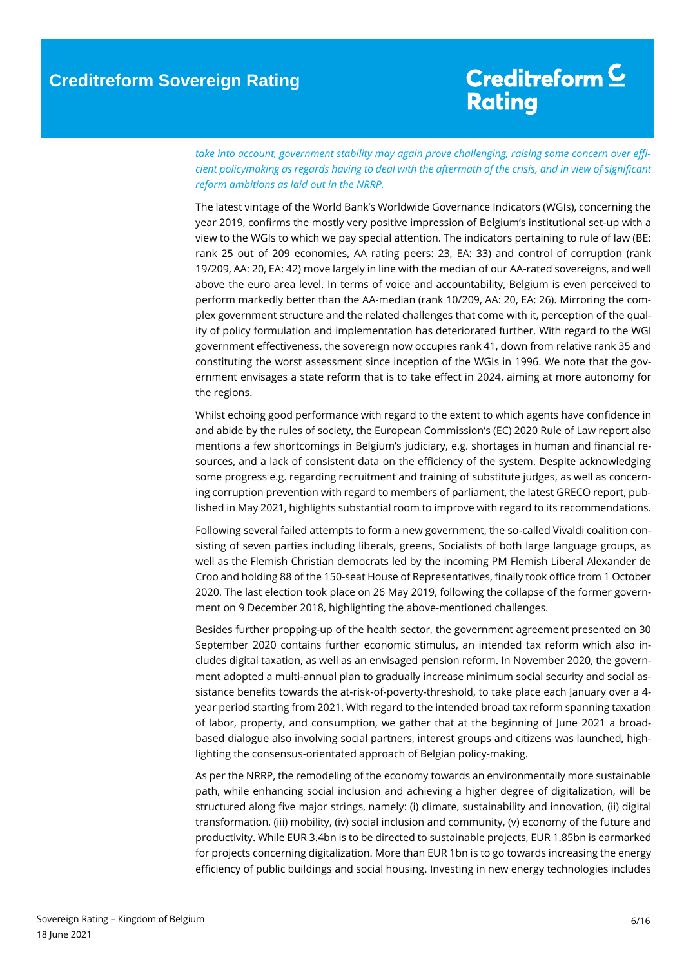## Creditreform<sup>C</sup> **Rating**

*take into account, government stability may again prove challenging, raising some concern over efficient policymaking as regards having to deal with the aftermath of the crisis, and in view of significant reform ambitions as laid out in the NRRP.*

The latest vintage of the World Bank's Worldwide Governance Indicators (WGIs), concerning the year 2019, confirms the mostly very positive impression of Belgium's institutional set-up with a view to the WGIs to which we pay special attention. The indicators pertaining to rule of law (BE: rank 25 out of 209 economies, AA rating peers: 23, EA: 33) and control of corruption (rank 19/209, AA: 20, EA: 42) move largely in line with the median of our AA-rated sovereigns, and well above the euro area level. In terms of voice and accountability, Belgium is even perceived to perform markedly better than the AA-median (rank 10/209, AA: 20, EA: 26). Mirroring the complex government structure and the related challenges that come with it, perception of the quality of policy formulation and implementation has deteriorated further. With regard to the WGI government effectiveness, the sovereign now occupies rank 41, down from relative rank 35 and constituting the worst assessment since inception of the WGIs in 1996. We note that the government envisages a state reform that is to take effect in 2024, aiming at more autonomy for the regions.

Whilst echoing good performance with regard to the extent to which agents have confidence in and abide by the rules of society, the European Commission's (EC) 2020 Rule of Law report also mentions a few shortcomings in Belgium's judiciary, e.g. shortages in human and financial resources, and a lack of consistent data on the efficiency of the system. Despite acknowledging some progress e.g. regarding recruitment and training of substitute judges, as well as concerning corruption prevention with regard to members of parliament, the latest GRECO report, published in May 2021, highlights substantial room to improve with regard to its recommendations.

Following several failed attempts to form a new government, the so-called Vivaldi coalition consisting of seven parties including liberals, greens, Socialists of both large language groups, as well as the Flemish Christian democrats led by the incoming PM Flemish Liberal Alexander de Croo and holding 88 of the 150-seat House of Representatives, finally took office from 1 October 2020. The last election took place on 26 May 2019, following the collapse of the former government on 9 December 2018, highlighting the above-mentioned challenges.

Besides further propping-up of the health sector, the government agreement presented on 30 September 2020 contains further economic stimulus, an intended tax reform which also includes digital taxation, as well as an envisaged pension reform. In November 2020, the government adopted a multi-annual plan to gradually increase minimum social security and social assistance benefits towards the at-risk-of-poverty-threshold, to take place each January over a 4 year period starting from 2021. With regard to the intended broad tax reform spanning taxation of labor, property, and consumption, we gather that at the beginning of June 2021 a broadbased dialogue also involving social partners, interest groups and citizens was launched, highlighting the consensus-orientated approach of Belgian policy-making.

As per the NRRP, the remodeling of the economy towards an environmentally more sustainable path, while enhancing social inclusion and achieving a higher degree of digitalization, will be structured along five major strings, namely: (i) climate, sustainability and innovation, (ii) digital transformation, (iii) mobility, (iv) social inclusion and community, (v) economy of the future and productivity. While EUR 3.4bn is to be directed to sustainable projects, EUR 1.85bn is earmarked for projects concerning digitalization. More than EUR 1bn is to go towards increasing the energy efficiency of public buildings and social housing. Investing in new energy technologies includes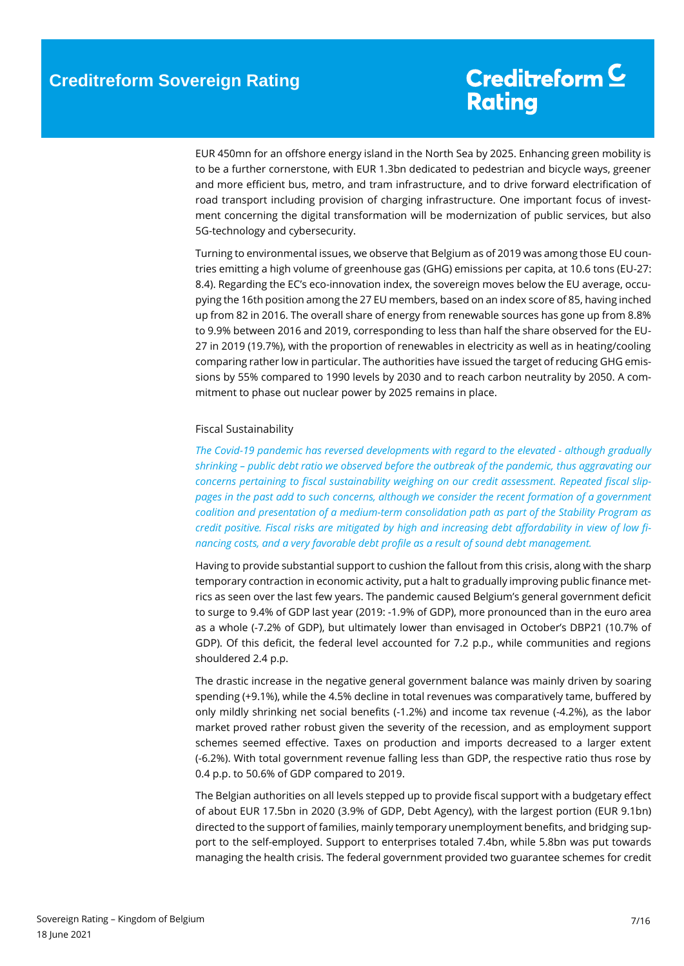EUR 450mn for an offshore energy island in the North Sea by 2025. Enhancing green mobility is to be a further cornerstone, with EUR 1.3bn dedicated to pedestrian and bicycle ways, greener and more efficient bus, metro, and tram infrastructure, and to drive forward electrification of road transport including provision of charging infrastructure. One important focus of investment concerning the digital transformation will be modernization of public services, but also 5G-technology and cybersecurity.

Turning to environmental issues, we observe that Belgium as of 2019 was among those EU countries emitting a high volume of greenhouse gas (GHG) emissions per capita, at 10.6 tons (EU-27: 8.4). Regarding the EC's eco-innovation index, the sovereign moves below the EU average, occupying the 16th position among the 27 EU members, based on an index score of 85, having inched up from 82 in 2016. The overall share of energy from renewable sources has gone up from 8.8% to 9.9% between 2016 and 2019, corresponding to less than half the share observed for the EU-27 in 2019 (19.7%), with the proportion of renewables in electricity as well as in heating/cooling comparing rather low in particular. The authorities have issued the target of reducing GHG emissions by 55% compared to 1990 levels by 2030 and to reach carbon neutrality by 2050. A commitment to phase out nuclear power by 2025 remains in place.

### <span id="page-6-1"></span><span id="page-6-0"></span>Fiscal Sustainability

*The Covid-19 pandemic has reversed developments with regard to the elevated - although gradually shrinking – public debt ratio we observed before the outbreak of the pandemic, thus aggravating our concerns pertaining to fiscal sustainability weighing on our credit assessment. Repeated fiscal slippages in the past add to such concerns, although we consider the recent formation of a government coalition and presentation of a medium-term consolidation path as part of the Stability Program as credit positive. Fiscal risks are mitigated by high and increasing debt affordability in view of low financing costs, and a very favorable debt profile as a result of sound debt management.* 

Having to provide substantial support to cushion the fallout from this crisis, along with the sharp temporary contraction in economic activity, put a halt to gradually improving public finance metrics as seen over the last few years. The pandemic caused Belgium's general government deficit to surge to 9.4% of GDP last year (2019: -1.9% of GDP), more pronounced than in the euro area as a whole (-7.2% of GDP), but ultimately lower than envisaged in October's DBP21 (10.7% of GDP). Of this deficit, the federal level accounted for 7.2 p.p., while communities and regions shouldered 2.4 p.p.

The drastic increase in the negative general government balance was mainly driven by soaring spending (+9.1%), while the 4.5% decline in total revenues was comparatively tame, buffered by only mildly shrinking net social benefits (-1.2%) and income tax revenue (-4.2%), as the labor market proved rather robust given the severity of the recession, and as employment support schemes seemed effective. Taxes on production and imports decreased to a larger extent (-6.2%). With total government revenue falling less than GDP, the respective ratio thus rose by 0.4 p.p. to 50.6% of GDP compared to 2019.

The Belgian authorities on all levels stepped up to provide fiscal support with a budgetary effect of about EUR 17.5bn in 2020 (3.9% of GDP, Debt Agency), with the largest portion (EUR 9.1bn) directed to the support of families, mainly temporary unemployment benefits, and bridging support to the self-employed. Support to enterprises totaled 7.4bn, while 5.8bn was put towards managing the health crisis. The federal government provided two guarantee schemes for credit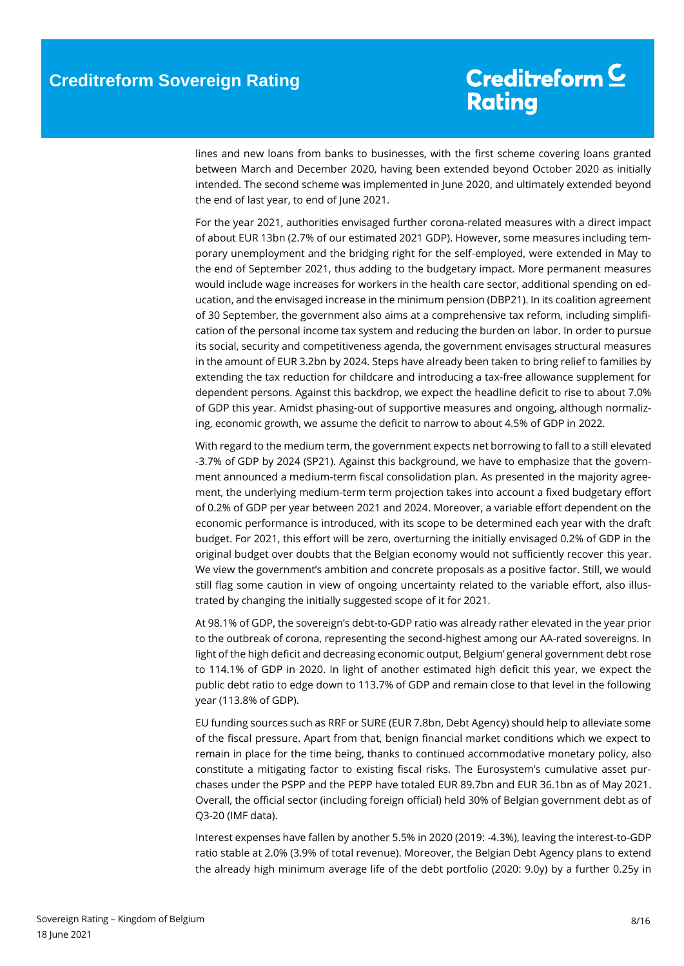# Creditreform C **Rating**

lines and new loans from banks to businesses, with the first scheme covering loans granted between March and December 2020, having been extended beyond October 2020 as initially intended. The second scheme was implemented in June 2020, and ultimately extended beyond the end of last year, to end of June 2021.

For the year 2021, authorities envisaged further corona-related measures with a direct impact of about EUR 13bn (2.7% of our estimated 2021 GDP). However, some measures including temporary unemployment and the bridging right for the self-employed, were extended in May to the end of September 2021, thus adding to the budgetary impact. More permanent measures would include wage increases for workers in the health care sector, additional spending on education, and the envisaged increase in the minimum pension (DBP21). In its coalition agreement of 30 September, the government also aims at a comprehensive tax reform, including simplification of the personal income tax system and reducing the burden on labor. In order to pursue its social, security and competitiveness agenda, the government envisages structural measures in the amount of EUR 3.2bn by 2024. Steps have already been taken to bring relief to families by extending the tax reduction for childcare and introducing a tax-free allowance supplement for dependent persons. Against this backdrop, we expect the headline deficit to rise to about 7.0% of GDP this year. Amidst phasing-out of supportive measures and ongoing, although normalizing, economic growth, we assume the deficit to narrow to about 4.5% of GDP in 2022.

With regard to the medium term, the government expects net borrowing to fall to a still elevated -3.7% of GDP by 2024 (SP21). Against this background, we have to emphasize that the government announced a medium-term fiscal consolidation plan. As presented in the majority agreement, the underlying medium-term term projection takes into account a fixed budgetary effort of 0.2% of GDP per year between 2021 and 2024. Moreover, a variable effort dependent on the economic performance is introduced, with its scope to be determined each year with the draft budget. For 2021, this effort will be zero, overturning the initially envisaged 0.2% of GDP in the original budget over doubts that the Belgian economy would not sufficiently recover this year. We view the government's ambition and concrete proposals as a positive factor. Still, we would still flag some caution in view of ongoing uncertainty related to the variable effort, also illustrated by changing the initially suggested scope of it for 2021.

At 98.1% of GDP, the sovereign's debt-to-GDP ratio was already rather elevated in the year prior to the outbreak of corona, representing the second-highest among our AA-rated sovereigns. In light of the high deficit and decreasing economic output, Belgium' general government debt rose to 114.1% of GDP in 2020. In light of another estimated high deficit this year, we expect the public debt ratio to edge down to 113.7% of GDP and remain close to that level in the following year (113.8% of GDP).

EU funding sources such as RRF or SURE (EUR 7.8bn, Debt Agency) should help to alleviate some of the fiscal pressure. Apart from that, benign financial market conditions which we expect to remain in place for the time being, thanks to continued accommodative monetary policy, also constitute a mitigating factor to existing fiscal risks. The Eurosystem's cumulative asset purchases under the PSPP and the PEPP have totaled EUR 89.7bn and EUR 36.1bn as of May 2021. Overall, the official sector (including foreign official) held 30% of Belgian government debt as of Q3-20 (IMF data).

Interest expenses have fallen by another 5.5% in 2020 (2019: -4.3%), leaving the interest-to-GDP ratio stable at 2.0% (3.9% of total revenue). Moreover, the Belgian Debt Agency plans to extend the already high minimum average life of the debt portfolio (2020: 9.0y) by a further 0.25y in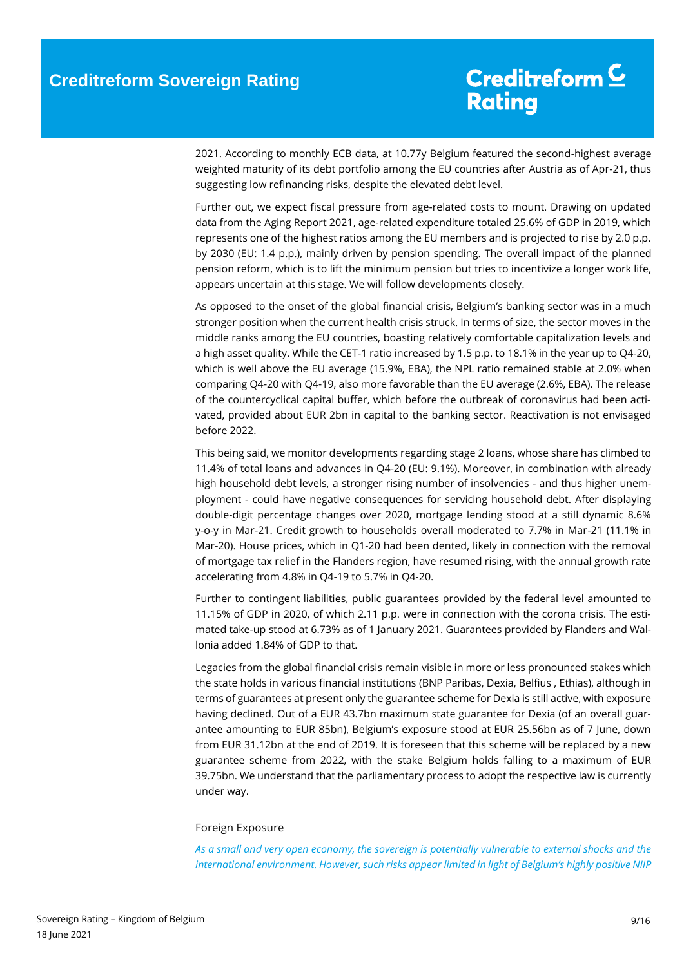2021. According to monthly ECB data, at 10.77y Belgium featured the second-highest average weighted maturity of its debt portfolio among the EU countries after Austria as of Apr-21, thus suggesting low refinancing risks, despite the elevated debt level.

Further out, we expect fiscal pressure from age-related costs to mount. Drawing on updated data from the Aging Report 2021, age-related expenditure totaled 25.6% of GDP in 2019, which represents one of the highest ratios among the EU members and is projected to rise by 2.0 p.p. by 2030 (EU: 1.4 p.p.), mainly driven by pension spending. The overall impact of the planned pension reform, which is to lift the minimum pension but tries to incentivize a longer work life, appears uncertain at this stage. We will follow developments closely.

As opposed to the onset of the global financial crisis, Belgium's banking sector was in a much stronger position when the current health crisis struck. In terms of size, the sector moves in the middle ranks among the EU countries, boasting relatively comfortable capitalization levels and a high asset quality. While the CET-1 ratio increased by 1.5 p.p. to 18.1% in the year up to Q4-20, which is well above the EU average (15.9%, EBA), the NPL ratio remained stable at 2.0% when comparing Q4-20 with Q4-19, also more favorable than the EU average (2.6%, EBA). The release of the countercyclical capital buffer, which before the outbreak of coronavirus had been activated, provided about EUR 2bn in capital to the banking sector. Reactivation is not envisaged before 2022.

This being said, we monitor developments regarding stage 2 loans, whose share has climbed to 11.4% of total loans and advances in Q4-20 (EU: 9.1%). Moreover, in combination with already high household debt levels, a stronger rising number of insolvencies - and thus higher unemployment - could have negative consequences for servicing household debt. After displaying double-digit percentage changes over 2020, mortgage lending stood at a still dynamic 8.6% y-o-y in Mar-21. Credit growth to households overall moderated to 7.7% in Mar-21 (11.1% in Mar-20). House prices, which in Q1-20 had been dented, likely in connection with the removal of mortgage tax relief in the Flanders region, have resumed rising, with the annual growth rate accelerating from 4.8% in Q4-19 to 5.7% in Q4-20.

Further to contingent liabilities, public guarantees provided by the federal level amounted to 11.15% of GDP in 2020, of which 2.11 p.p. were in connection with the corona crisis. The estimated take-up stood at 6.73% as of 1 January 2021. Guarantees provided by Flanders and Wallonia added 1.84% of GDP to that.

Legacies from the global financial crisis remain visible in more or less pronounced stakes which the state holds in various financial institutions (BNP Paribas, Dexia, Belfius , Ethias), although in terms of guarantees at present only the guarantee scheme for Dexia is still active, with exposure having declined. Out of a EUR 43.7bn maximum state guarantee for Dexia (of an overall guarantee amounting to EUR 85bn), Belgium's exposure stood at EUR 25.56bn as of 7 June, down from EUR 31.12bn at the end of 2019. It is foreseen that this scheme will be replaced by a new guarantee scheme from 2022, with the stake Belgium holds falling to a maximum of EUR 39.75bn. We understand that the parliamentary process to adopt the respective law is currently under way.

#### Foreign Exposure

*As a small and very open economy, the sovereign is potentially vulnerable to external shocks and the international environment. However, such risks appear limited in light of Belgium's highly positive NIIP*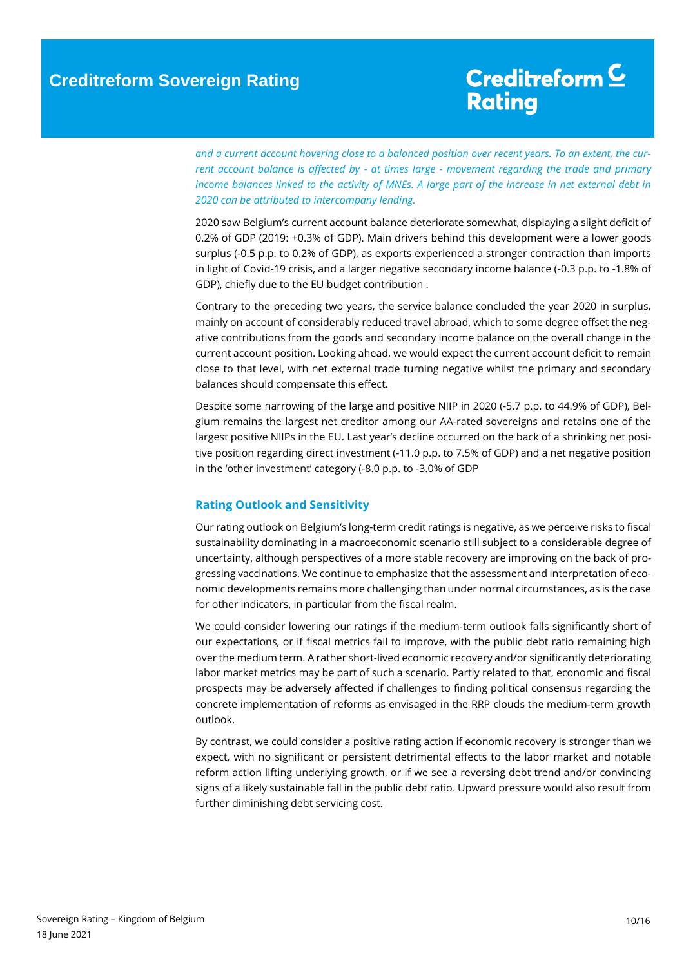## Creditreform<sup>C</sup> **Rating**

*and a current account hovering close to a balanced position over recent years. To an extent, the current account balance is affected by - at times large - movement regarding the trade and primary income balances linked to the activity of MNEs. A large part of the increase in net external debt in 2020 can be attributed to intercompany lending.*

2020 saw Belgium's current account balance deteriorate somewhat, displaying a slight deficit of 0.2% of GDP (2019: +0.3% of GDP). Main drivers behind this development were a lower goods surplus (-0.5 p.p. to 0.2% of GDP), as exports experienced a stronger contraction than imports in light of Covid-19 crisis, and a larger negative secondary income balance (-0.3 p.p. to -1.8% of GDP), chiefly due to the EU budget contribution .

Contrary to the preceding two years, the service balance concluded the year 2020 in surplus, mainly on account of considerably reduced travel abroad, which to some degree offset the negative contributions from the goods and secondary income balance on the overall change in the current account position. Looking ahead, we would expect the current account deficit to remain close to that level, with net external trade turning negative whilst the primary and secondary balances should compensate this effect.

Despite some narrowing of the large and positive NIIP in 2020 (-5.7 p.p. to 44.9% of GDP), Belgium remains the largest net creditor among our AA-rated sovereigns and retains one of the largest positive NIIPs in the EU. Last year's decline occurred on the back of a shrinking net positive position regarding direct investment (-11.0 p.p. to 7.5% of GDP) and a net negative position in the 'other investment' category (-8.0 p.p. to -3.0% of GDP

### <span id="page-9-0"></span>**Rating Outlook and Sensitivity**

Our rating outlook on Belgium's long-term credit ratings is negative, as we perceive risks to fiscal sustainability dominating in a macroeconomic scenario still subject to a considerable degree of uncertainty, although perspectives of a more stable recovery are improving on the back of progressing vaccinations. We continue to emphasize that the assessment and interpretation of economic developments remains more challenging than under normal circumstances, as is the case for other indicators, in particular from the fiscal realm.

We could consider lowering our ratings if the medium-term outlook falls significantly short of our expectations, or if fiscal metrics fail to improve, with the public debt ratio remaining high over the medium term. A rather short-lived economic recovery and/or significantly deteriorating labor market metrics may be part of such a scenario. Partly related to that, economic and fiscal prospects may be adversely affected if challenges to finding political consensus regarding the concrete implementation of reforms as envisaged in the RRP clouds the medium-term growth outlook.

<span id="page-9-1"></span>By contrast, we could consider a positive rating action if economic recovery is stronger than we expect, with no significant or persistent detrimental effects to the labor market and notable reform action lifting underlying growth, or if we see a reversing debt trend and/or convincing signs of a likely sustainable fall in the public debt ratio. Upward pressure would also result from further diminishing debt servicing cost.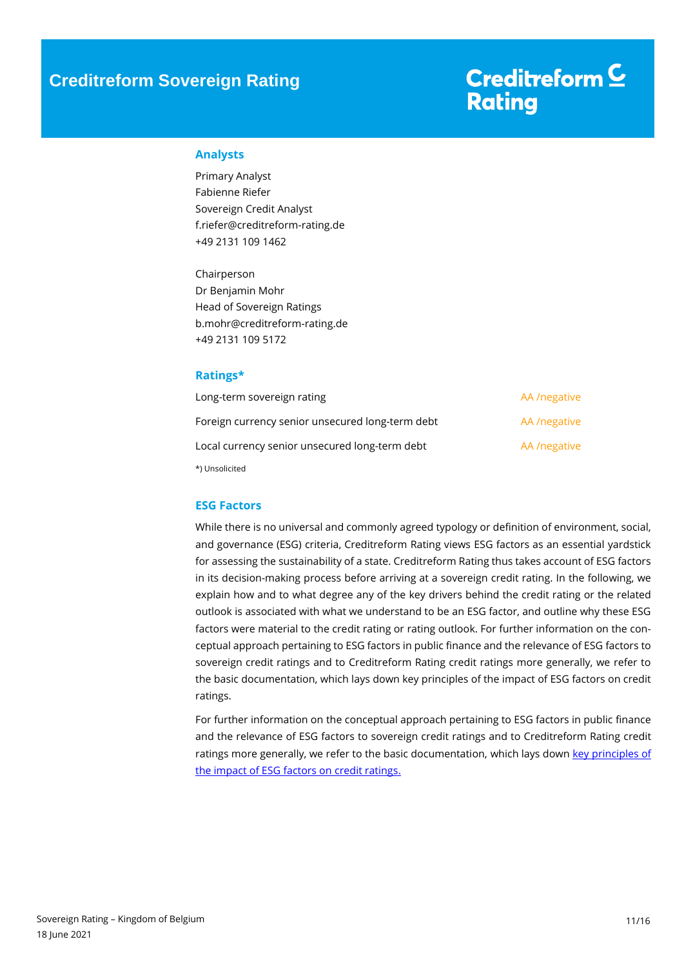## Creditreform<sup>C</sup> **Rating**

### **Analysts**

Primary Analyst Fabienne Riefer Sovereign Credit Analyst f.riefer@creditreform-rating.de +49 2131 109 1462

Chairperson Dr Benjamin Mohr Head of Sovereign Ratings b.mohr@creditreform-rating.de +49 2131 109 5172

### <span id="page-10-0"></span>**Ratings\***

| Long-term sovereign rating                       | AA /negative |
|--------------------------------------------------|--------------|
| Foreign currency senior unsecured long-term debt | AA /negative |
| Local currency senior unsecured long-term debt   | AA /negative |
| *) Unsolicited                                   |              |

### <span id="page-10-1"></span>**ESG Factors**

While there is no universal and commonly agreed typology or definition of environment, social, and governance (ESG) criteria, Creditreform Rating views ESG factors as an essential yardstick for assessing the sustainability of a state. Creditreform Rating thus takes account of ESG factors in its decision-making process before arriving at a sovereign credit rating. In the following, we explain how and to what degree any of the key drivers behind the credit rating or the related outlook is associated with what we understand to be an ESG factor, and outline why these ESG factors were material to the credit rating or rating outlook. For further information on the conceptual approach pertaining to ESG factors in public finance and the relevance of ESG factors to sovereign credit ratings and to Creditreform Rating credit ratings more generally, we refer to the basic documentation, which lays down key principles of the impact of ESG factors on credit ratings.

For further information on the conceptual approach pertaining to ESG factors in public finance and the relevance of ESG factors to sovereign credit ratings and to Creditreform Rating credit ratings more generally, we refer to the basic documentation, which lays down key principles of [the impact of ESG factors on credit ratings.](https://www.creditreform-rating.de/en/about-us/regulatory-requirements.html?file=files/content/downloads/Externes%20Rating/Regulatorische%20Anforderungen/EN/Ratingmethodiken%20EN/The%20Impact%20of%20ESG%20Factors%20on%20Credit%20Ratings.pdf)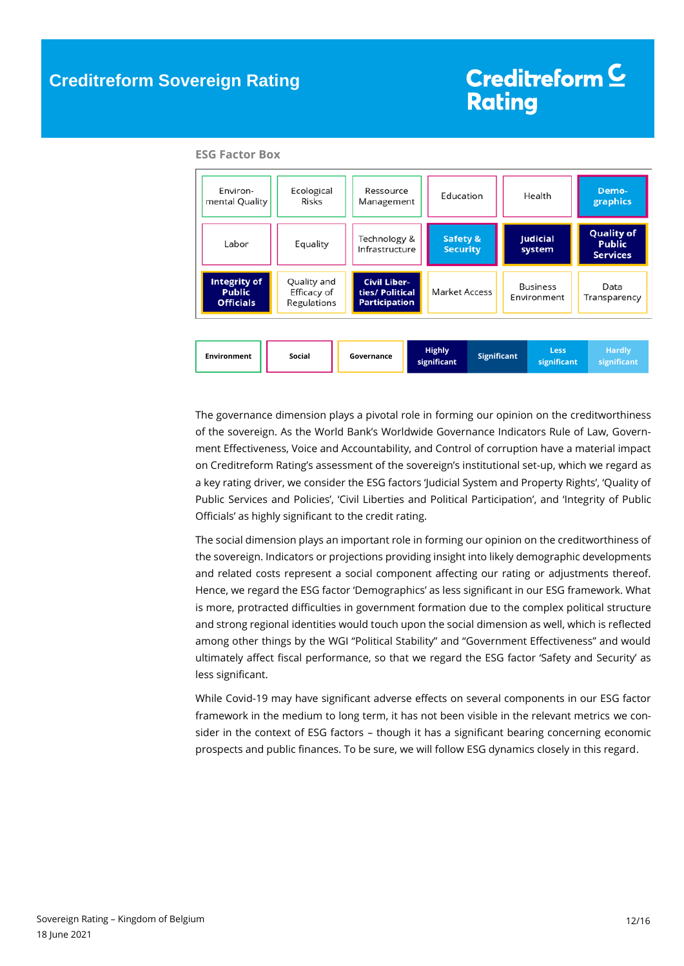| Environ-<br>mental Quality                               | Ecological<br><b>Risks</b>                |                                                                | Ressource<br>Education<br>Management |                                                        | Health |                            | Demo-<br>graphics                                     |  |
|----------------------------------------------------------|-------------------------------------------|----------------------------------------------------------------|--------------------------------------|--------------------------------------------------------|--------|----------------------------|-------------------------------------------------------|--|
| Labor                                                    | Equality                                  | Technology &<br>Infrastructure                                 |                                      | <b>Safety &amp;</b><br><b>Security</b>                 |        | <b>Judicial</b><br>system  | <b>Quality of</b><br><b>Public</b><br><b>Services</b> |  |
| <b>Integrity of</b><br><b>Public</b><br><b>Officials</b> | Quality and<br>Efficacy of<br>Regulations | <b>Civil Liber-</b><br>ties/ Political<br><b>Participation</b> |                                      | <b>Business</b><br><b>Market Access</b><br>Environment |        |                            | Data<br>Transparency                                  |  |
| <b>Environment</b>                                       | <b>Social</b>                             | Governance                                                     | <b>Highly</b><br>significant         | <b>Significant</b>                                     |        | <b>Less</b><br>significant | <b>Hardly</b><br>significant                          |  |

#### **ESG Factor Box**

The governance dimension plays a pivotal role in forming our opinion on the creditworthiness of the sovereign. As the World Bank's Worldwide Governance Indicators Rule of Law, Government Effectiveness, Voice and Accountability, and Control of corruption have a material impact on Creditreform Rating's assessment of the sovereign's institutional set-up, which we regard as a key rating driver, we consider the ESG factors 'Judicial System and Property Rights', 'Quality of Public Services and Policies', 'Civil Liberties and Political Participation', and 'Integrity of Public Officials' as highly significant to the credit rating.

The social dimension plays an important role in forming our opinion on the creditworthiness of the sovereign. Indicators or projections providing insight into likely demographic developments and related costs represent a social component affecting our rating or adjustments thereof. Hence, we regard the ESG factor 'Demographics' as less significant in our ESG framework. What is more, protracted difficulties in government formation due to the complex political structure and strong regional identities would touch upon the social dimension as well, which is reflected among other things by the WGI "Political Stability" and "Government Effectiveness" and would ultimately affect fiscal performance, so that we regard the ESG factor 'Safety and Security' as less significant.

<span id="page-11-0"></span>While Covid-19 may have significant adverse effects on several components in our ESG factor framework in the medium to long term, it has not been visible in the relevant metrics we consider in the context of ESG factors – though it has a significant bearing concerning economic prospects and public finances. To be sure, we will follow ESG dynamics closely in this regard.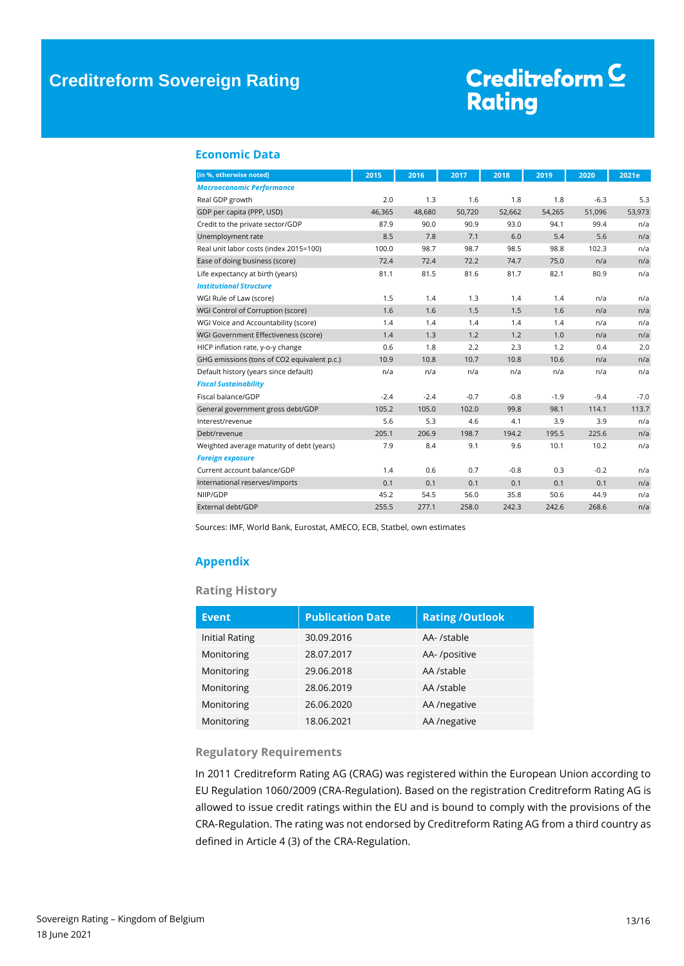# Creditreform<sup>C</sup> **Rating**

### **Economic Data**

| [in %, otherwise noted]                     | 2015   | 2016   | 2017   | 2018   | 2019   | 2020   | 2021e  |
|---------------------------------------------|--------|--------|--------|--------|--------|--------|--------|
| <b>Macroeconomic Performance</b>            |        |        |        |        |        |        |        |
| Real GDP growth                             | 2.0    | 1.3    | 1.6    | 1.8    | 1.8    | $-6.3$ | 5.3    |
| GDP per capita (PPP, USD)                   | 46,365 | 48,680 | 50,720 | 52,662 | 54,265 | 51,096 | 53,973 |
| Credit to the private sector/GDP            | 87.9   | 90.0   | 90.9   | 93.0   | 94.1   | 99.4   | n/a    |
| Unemployment rate                           | 8.5    | 7.8    | 7.1    | 6.0    | 5.4    | 5.6    | n/a    |
| Real unit labor costs (index 2015=100)      | 100.0  | 98.7   | 98.7   | 98.5   | 98.8   | 102.3  | n/a    |
| Ease of doing business (score)              | 72.4   | 72.4   | 72.2   | 74.7   | 75.0   | n/a    | n/a    |
| Life expectancy at birth (years)            | 81.1   | 81.5   | 81.6   | 81.7   | 82.1   | 80.9   | n/a    |
| <b>Institutional Structure</b>              |        |        |        |        |        |        |        |
| WGI Rule of Law (score)                     | 1.5    | 1.4    | 1.3    | 1.4    | 1.4    | n/a    | n/a    |
| WGI Control of Corruption (score)           | 1.6    | 1.6    | 1.5    | 1.5    | 1.6    | n/a    | n/a    |
| WGI Voice and Accountability (score)        | 1.4    | 1.4    | 1.4    | 1.4    | 1.4    | n/a    | n/a    |
| WGI Government Effectiveness (score)        | 1.4    | 1.3    | 1.2    | 1.2    | 1.0    | n/a    | n/a    |
| HICP inflation rate, y-o-y change           | 0.6    | 1.8    | 2.2    | 2.3    | 1.2    | 0.4    | 2.0    |
| GHG emissions (tons of CO2 equivalent p.c.) | 10.9   | 10.8   | 10.7   | 10.8   | 10.6   | n/a    | n/a    |
| Default history (years since default)       | n/a    | n/a    | n/a    | n/a    | n/a    | n/a    | n/a    |
| <b>Fiscal Sustainability</b>                |        |        |        |        |        |        |        |
| Fiscal balance/GDP                          | $-2.4$ | $-2.4$ | $-0.7$ | $-0.8$ | $-1.9$ | $-9.4$ | $-7.0$ |
| General government gross debt/GDP           | 105.2  | 105.0  | 102.0  | 99.8   | 98.1   | 114.1  | 113.7  |
| Interest/revenue                            | 5.6    | 5.3    | 4.6    | 4.1    | 3.9    | 3.9    | n/a    |
| Debt/revenue                                | 205.1  | 206.9  | 198.7  | 194.2  | 195.5  | 225.6  | n/a    |
| Weighted average maturity of debt (years)   | 7.9    | 8.4    | 9.1    | 9.6    | 10.1   | 10.2   | n/a    |
| <b>Foreign exposure</b>                     |        |        |        |        |        |        |        |
| Current account balance/GDP                 | 1.4    | 0.6    | 0.7    | $-0.8$ | 0.3    | $-0.2$ | n/a    |
| International reserves/imports              | 0.1    | 0.1    | 0.1    | 0.1    | 0.1    | 0.1    | n/a    |
| NIIP/GDP                                    | 45.2   | 54.5   | 56.0   | 35.8   | 50.6   | 44.9   | n/a    |
| External debt/GDP                           | 255.5  | 277.1  | 258.0  | 242.3  | 242.6  | 268.6  | n/a    |

Sources: IMF, World Bank, Eurostat, AMECO, ECB, Statbel, own estimates

### **Appendix**

### **Rating History**

| <b>Event</b>          | <b>Publication Date</b> | <b>Rating /Outlook</b> |
|-----------------------|-------------------------|------------------------|
| <b>Initial Rating</b> | 30.09.2016              | AA- /stable            |
| Monitoring            | 28.07.2017              | AA-/positive           |
| Monitoring            | 29.06.2018              | AA /stable             |
| Monitoring            | 28.06.2019              | AA /stable             |
| Monitoring            | 26.06.2020              | AA /negative           |
| Monitoring            | 18.06.2021              | AA /negative           |

### **Regulatory Requirements**

In 2011 Creditreform Rating AG (CRAG) was registered within the European Union according to EU Regulation 1060/2009 (CRA-Regulation). Based on the registration Creditreform Rating AG is allowed to issue credit ratings within the EU and is bound to comply with the provisions of the CRA-Regulation. The rating was not endorsed by Creditreform Rating AG from a third country as defined in Article 4 (3) of the CRA-Regulation.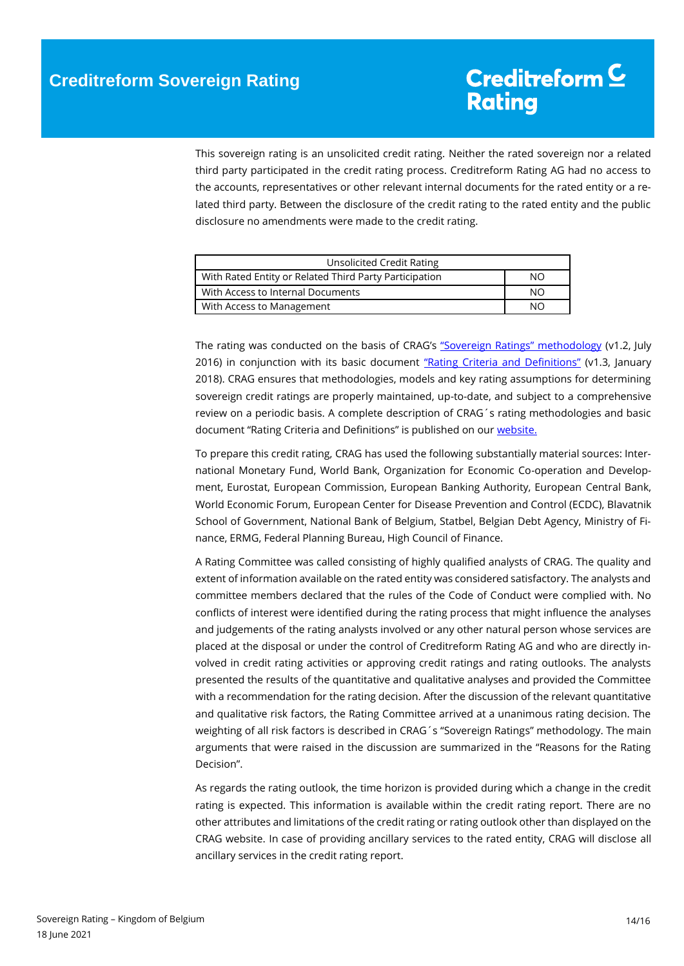This sovereign rating is an unsolicited credit rating. Neither the rated sovereign nor a related third party participated in the credit rating process. Creditreform Rating AG had no access to the accounts, representatives or other relevant internal documents for the rated entity or a related third party. Between the disclosure of the credit rating to the rated entity and the public disclosure no amendments were made to the credit rating.

| Unsolicited Credit Rating                              |    |
|--------------------------------------------------------|----|
| With Rated Entity or Related Third Party Participation | NΟ |
| With Access to Internal Documents                      | NΟ |
| With Access to Management                              | NΟ |

The rating was conducted on the basis of CRAG's ["Sovereign Ratings" methodology](https://www.creditreform-rating.de/en/about-us/regulatory-requirements.html?file=files/content/downloads/Externes%20Rating/Regulatorische%20Anforderungen/EN/Ratingmethodiken%20EN/Rating%20Methodology%20Sovereign%20Ratings.pdf) (v1.2, July 2016) in conjunction with its basic document ["Rating Criteria and Definitions"](https://www.creditreform-rating.de/en/about-us/regulatory-requirements.html?file=files/content/downloads/Externes%20Rating/Regulatorische%20Anforderungen/EN/Ratingmethodiken%20EN/CRAG%20Rating%20Criteria%20and%20Definitions.pdf) (v1.3, January 2018). CRAG ensures that methodologies, models and key rating assumptions for determining sovereign credit ratings are properly maintained, up-to-date, and subject to a comprehensive review on a periodic basis. A complete description of CRAG´s rating methodologies and basic document "Rating Criteria and Definitions" is published on our [website.](https://www.creditreform-rating.de/en/about-us/regulatory-requirements.html)

To prepare this credit rating, CRAG has used the following substantially material sources: International Monetary Fund, World Bank, Organization for Economic Co-operation and Development, Eurostat, European Commission, European Banking Authority, European Central Bank, World Economic Forum, European Center for Disease Prevention and Control (ECDC), Blavatnik School of Government, National Bank of Belgium, Statbel, Belgian Debt Agency, Ministry of Finance, ERMG, Federal Planning Bureau, High Council of Finance.

A Rating Committee was called consisting of highly qualified analysts of CRAG. The quality and extent of information available on the rated entity was considered satisfactory. The analysts and committee members declared that the rules of the Code of Conduct were complied with. No conflicts of interest were identified during the rating process that might influence the analyses and judgements of the rating analysts involved or any other natural person whose services are placed at the disposal or under the control of Creditreform Rating AG and who are directly involved in credit rating activities or approving credit ratings and rating outlooks. The analysts presented the results of the quantitative and qualitative analyses and provided the Committee with a recommendation for the rating decision. After the discussion of the relevant quantitative and qualitative risk factors, the Rating Committee arrived at a unanimous rating decision. The weighting of all risk factors is described in CRAG´s "Sovereign Ratings" methodology. The main arguments that were raised in the discussion are summarized in the "Reasons for the Rating Decision".

As regards the rating outlook, the time horizon is provided during which a change in the credit rating is expected. This information is available within the credit rating report. There are no other attributes and limitations of the credit rating or rating outlook other than displayed on the CRAG website. In case of providing ancillary services to the rated entity, CRAG will disclose all ancillary services in the credit rating report.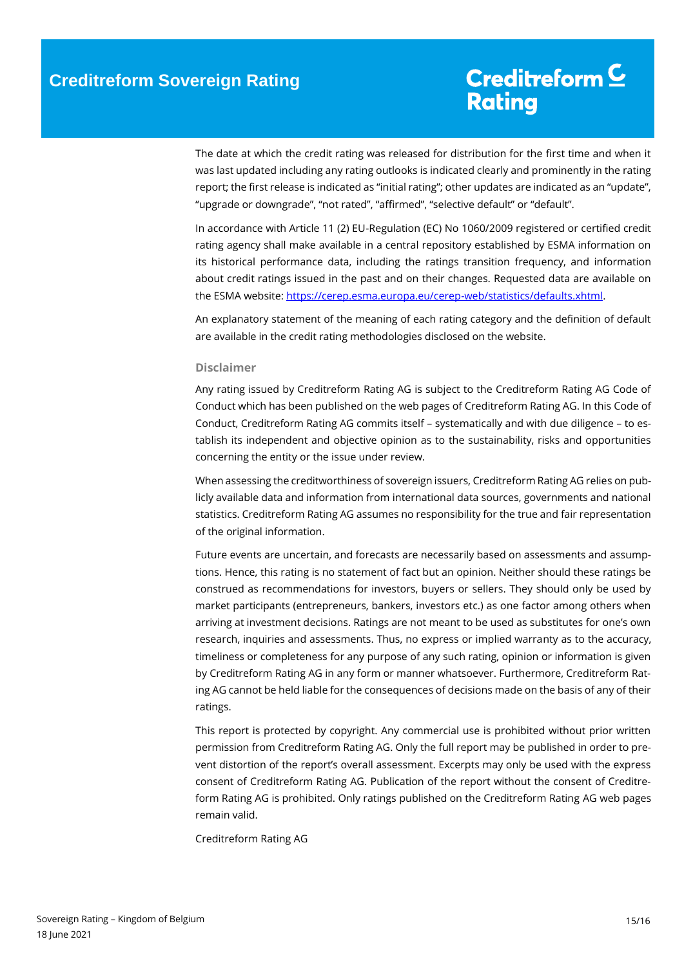The date at which the credit rating was released for distribution for the first time and when it was last updated including any rating outlooks is indicated clearly and prominently in the rating report; the first release is indicated as "initial rating"; other updates are indicated as an "update", "upgrade or downgrade", "not rated", "affirmed", "selective default" or "default".

In accordance with Article 11 (2) EU-Regulation (EC) No 1060/2009 registered or certified credit rating agency shall make available in a central repository established by ESMA information on its historical performance data, including the ratings transition frequency, and information about credit ratings issued in the past and on their changes. Requested data are available on the ESMA website[: https://cerep.esma.europa.eu/cerep-web/statistics/defaults.xhtml.](https://cerep.esma.europa.eu/cerep-web/statistics/defaults.xhtml)

An explanatory statement of the meaning of each rating category and the definition of default are available in the credit rating methodologies disclosed on the website.

#### **Disclaimer**

Any rating issued by Creditreform Rating AG is subject to the Creditreform Rating AG Code of Conduct which has been published on the web pages of Creditreform Rating AG. In this Code of Conduct, Creditreform Rating AG commits itself – systematically and with due diligence – to establish its independent and objective opinion as to the sustainability, risks and opportunities concerning the entity or the issue under review.

When assessing the creditworthiness of sovereign issuers, Creditreform Rating AG relies on publicly available data and information from international data sources, governments and national statistics. Creditreform Rating AG assumes no responsibility for the true and fair representation of the original information.

Future events are uncertain, and forecasts are necessarily based on assessments and assumptions. Hence, this rating is no statement of fact but an opinion. Neither should these ratings be construed as recommendations for investors, buyers or sellers. They should only be used by market participants (entrepreneurs, bankers, investors etc.) as one factor among others when arriving at investment decisions. Ratings are not meant to be used as substitutes for one's own research, inquiries and assessments. Thus, no express or implied warranty as to the accuracy, timeliness or completeness for any purpose of any such rating, opinion or information is given by Creditreform Rating AG in any form or manner whatsoever. Furthermore, Creditreform Rating AG cannot be held liable for the consequences of decisions made on the basis of any of their ratings.

This report is protected by copyright. Any commercial use is prohibited without prior written permission from Creditreform Rating AG. Only the full report may be published in order to prevent distortion of the report's overall assessment. Excerpts may only be used with the express consent of Creditreform Rating AG. Publication of the report without the consent of Creditreform Rating AG is prohibited. Only ratings published on the Creditreform Rating AG web pages remain valid.

Creditreform Rating AG